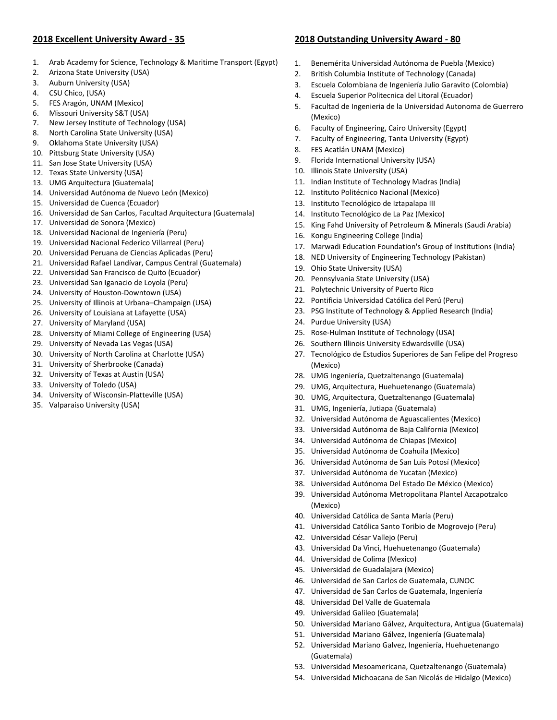## **2018 Excellent University Award ‐ 35**

- 1. Arab Academy for Science, Technology & Maritime Transport (Egypt)
- 2. Arizona State University (USA)
- 3. Auburn University (USA)
- 4. CSU Chico, (USA)
- 5. FES Aragón, UNAM (Mexico)
- 6. Missouri University S&T (USA)
- 7. New Jersey Institute of Technology (USA)
- 8. North Carolina State University (USA)
- 9. Oklahoma State University (USA)
- 10. Pittsburg State University (USA)
- 11. San Jose State University (USA)
- 12. Texas State University (USA)
- 13. UMG Arquitectura (Guatemala)
- 14. Universidad Autónoma de Nuevo León (Mexico)
- 15. Universidad de Cuenca (Ecuador)
- 16. Universidad de San Carlos, Facultad Arquitectura (Guatemala)
- 17. Universidad de Sonora (Mexico)
- 18. Universidad Nacional de Ingeniería (Peru)
- 19. Universidad Nacional Federico Villarreal (Peru)
- 20. Universidad Peruana de Ciencias Aplicadas (Peru)
- 21. Universidad Rafael Landívar, Campus Central (Guatemala)
- 22. Universidad San Francisco de Quito (Ecuador)
- 23. Universidad San Iganacio de Loyola (Peru)
- 24. University of Houston‐Downtown (USA)
- 25. University of Illinois at Urbana–Champaign (USA)
- 26. University of Louisiana at Lafayette (USA)
- 27. University of Maryland (USA)
- 28. University of Miami College of Engineering (USA)
- 29. University of Nevada Las Vegas (USA)
- 30. University of North Carolina at Charlotte (USA)
- 31. University of Sherbrooke (Canada)
- 32. University of Texas at Austin (USA)
- 33. University of Toledo (USA)
- 34. University of Wisconsin‐Platteville (USA)
- 35. Valparaiso University (USA)

## **2018 Outstanding University Award ‐ 80**

- 1. Benemérita Universidad Autónoma de Puebla (Mexico)
- 2. British Columbia Institute of Technology (Canada)
- 3. Escuela Colombiana de Ingeniería Julio Garavito (Colombia)
- 4. Escuela Superior Politecnica del Litoral (Ecuador)
- 5. Facultad de Ingenieria de la Universidad Autonoma de Guerrero (Mexico)
- 6. Faculty of Engineering, Cairo University (Egypt)
- 7. Faculty of Engineering, Tanta University (Egypt)
- 8. FES Acatlán UNAM (Mexico)
- 9. Florida International University (USA)
- 10. Illinois State University (USA)
- 11. Indian Institute of Technology Madras (India)
- 12. Instituto Politécnico Nacional (Mexico)
- 13. Instituto Tecnológico de Iztapalapa III
- 14. Instituto Tecnológico de La Paz (Mexico)
- 15. King Fahd University of Petroleum & Minerals (Saudi Arabia)
- 16. Kongu Engineering College (India)
- 17. Marwadi Education Foundation's Group of Institutions (India)
- 18. NED University of Engineering Technology (Pakistan)
- 19. Ohio State University (USA)
- 20. Pennsylvania State University (USA)
- 21. Polytechnic University of Puerto Rico
- 22. Pontificia Universidad Católica del Perú (Peru)
- 23. PSG Institute of Technology & Applied Research (India)
- 24. Purdue University (USA)
- 25. Rose‐Hulman Institute of Technology (USA)
- 26. Southern Illinois University Edwardsville (USA)
- 27. Tecnológico de Estudios Superiores de San Felipe del Progreso (Mexico)
- 28. UMG Ingeniería, Quetzaltenango (Guatemala)
- 29. UMG, Arquitectura, Huehuetenango (Guatemala)
- 30. UMG, Arquitectura, Quetzaltenango (Guatemala)
- 31. UMG, Ingeniería, Jutiapa (Guatemala)
- 32. Universidad Autónoma de Aguascalientes (Mexico)
- 33. Universidad Autónoma de Baja California (Mexico)
- 34. Universidad Autónoma de Chiapas (Mexico)
- 35. Universidad Autónoma de Coahuila (Mexico)
- 36. Universidad Autónoma de San Luis Potosí (Mexico)
- 37. Universidad Autónoma de Yucatan (Mexico)
- 38. Universidad Autónoma Del Estado De México (Mexico)
- 39. Universidad Autónoma Metropolitana Plantel Azcapotzalco (Mexico)
- 40. Universidad Católica de Santa María (Peru)
- 41. Universidad Católica Santo Toribio de Mogrovejo (Peru)
- 42. Universidad César Vallejo (Peru)
- 43. Universidad Da Vinci, Huehuetenango (Guatemala)
- 44. Universidad de Colima (Mexico)
- 45. Universidad de Guadalajara (Mexico)
- 46. Universidad de San Carlos de Guatemala, CUNOC
- 47. Universidad de San Carlos de Guatemala, Ingeniería
- 48. Universidad Del Valle de Guatemala
- 49. Universidad Galileo (Guatemala)
- 50. Universidad Mariano Gálvez, Arquitectura, Antigua (Guatemala)
- 51. Universidad Mariano Gálvez, Ingeniería (Guatemala)
- 52. Universidad Mariano Galvez, Ingeniería, Huehuetenango (Guatemala)
- 53. Universidad Mesoamericana, Quetzaltenango (Guatemala)
- 54. Universidad Michoacana de San Nicolás de Hidalgo (Mexico)